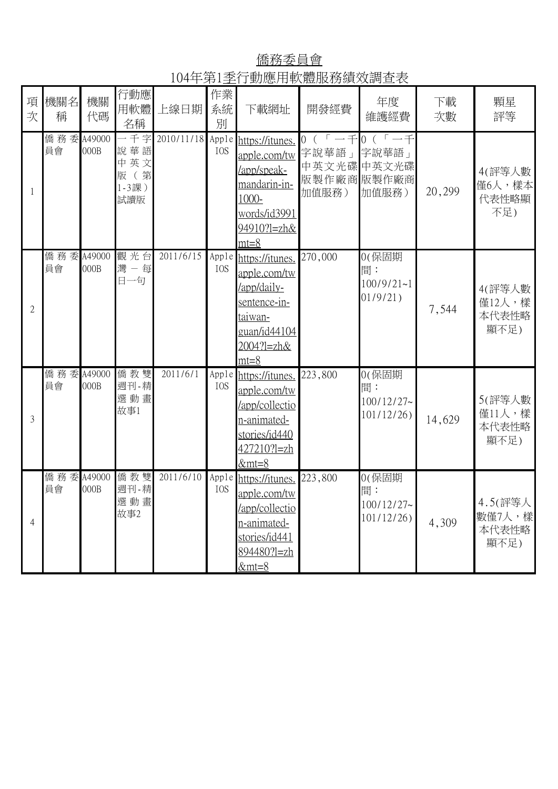僑務委員會 104年第1季行動應用軟體服務績效調查表

| 項<br>次         | 機關名<br>稱         | 機關<br>代碼 | 行動應<br>用軟體<br>名稱                          | 上線日期             | 作業<br>系統<br>別       | 下載網址                                                                                                                     | 開發經費                                                      | 年度<br>維護經費                                   | 下載<br>次數 | 顆星<br>評等                           |
|----------------|------------------|----------|-------------------------------------------|------------------|---------------------|--------------------------------------------------------------------------------------------------------------------------|-----------------------------------------------------------|----------------------------------------------|----------|------------------------------------|
| 1              | 僑務委 A49000<br>員會 | 000B     | 一千字<br>說華語<br>中英文<br>版 (第<br>1-3課)<br>試讀版 | 2010/11/18 Apple | IOS                 | https://itunes.<br>apple.com/tw<br>/app/speak-<br>mandarin-in-<br>1000-<br>words/id3991<br>94910?1=zh&<br>$mt=8$         | $0 (r - 1)$<br>字說華語」<br>中英文光碟中英文光碟<br>版製作廠商版製作廠商<br>加值服務) | $0 (r - f)$<br>字說華語」<br>加值服務)                | 20,299   | 4(評等人數<br>僅6人,樣本<br>代表性略顯<br>不足)   |
| $\mathfrak{2}$ | 僑務委 A49000<br>員會 | 000B     | 觀光台<br>灣一每<br>日一句                         | 2011/6/15        | Apple<br>IOS        | https://itunes.<br>apple.com/tw<br>/app/daily-<br>sentence-in-<br><u>taiwan-</u><br>guan/id44104<br>2004?1=zh&<br>$mt=8$ | 270,000                                                   | 0(保固期<br>間:<br>$100/9/21 - 1$<br>$01/9/21$ ) | 7,544    | 4(評等人數<br>僅12人,樣<br>本代表性略<br>顯不足)  |
| 3              | 僑務委 A49000<br>員會 | 000B     | 僑教雙<br>週刊-精<br>選動畫<br>故事1                 | 2011/6/1         | Apple<br><b>IOS</b> | https://itunes.<br>apple.com/tw<br>/app/collectio<br>n-animated-<br>stories/id440<br>427210?l=zh<br>$&mt=8$              | 223,800                                                   | 0(保固期<br>間:<br>$100/12/27$ ~<br>101/12/26    | 14,629   | 5(評等人數<br>僅11人,樣<br>本代表性略<br>顯不足)  |
| 4              | 僑務委 A49000<br>員會 | 000B     | 僑教雙<br>週刊-精<br>選動畫<br>故事2                 | 2011/6/10        | Apple<br><b>IOS</b> | https://itunes.<br>apple.com/tw<br>/app/collectio<br>n-animated-<br>stories/id441<br>894480?l=zh<br>$&$ mt=8             | 223,800                                                   | 0(保固期<br>間:<br>$100/12/27$ ~<br>101/12/26    | 4,309    | 4.5(評等人<br>數僅7人,樣<br>本代表性略<br>顯不足) |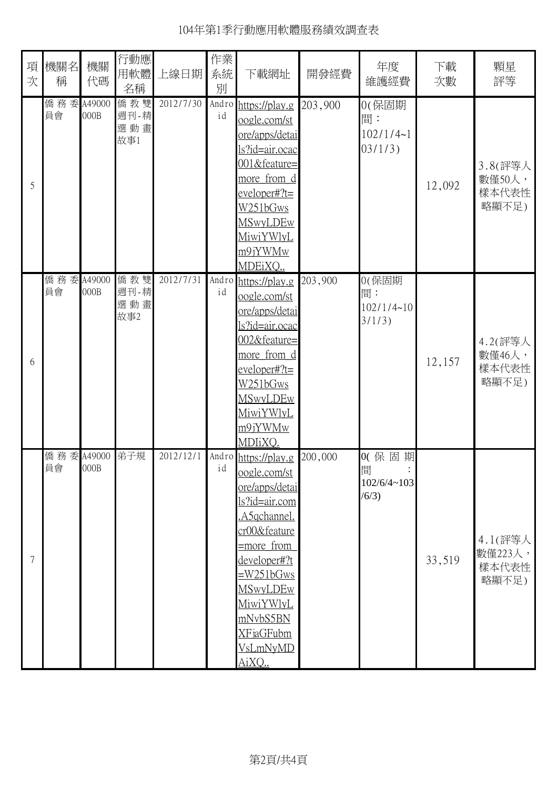| 項<br>次 | 機關名<br>稱         | 機關<br>代碼       | 行動應<br>用軟體<br>名稱          | 上線日期      | 作業<br>系統<br>別 | 下載網址                                                                                                                                                                                                                                         | 開發經費    | 年度<br>維護經費                             | 下載<br>次數 | 顆星<br>評等                             |
|--------|------------------|----------------|---------------------------|-----------|---------------|----------------------------------------------------------------------------------------------------------------------------------------------------------------------------------------------------------------------------------------------|---------|----------------------------------------|----------|--------------------------------------|
| 5      | 僑務委<br>員會        | A49000<br>000B | 僑教雙<br>週刊-精<br>選動畫<br>故事1 | 2012/7/30 | Andro<br>id   | https://play.g<br>oogle.com/st<br>ore/apps/detai<br><u>ls?id=air.ocac</u><br>001&feature=<br>more from d<br>$e$ veloper#?t=<br>W251bGws<br><b>MSwyLDEw</b><br><u>MiwiYWlyL</u><br>m9jYWMw<br>MDEiXQ                                          | 203,900 | 0(保固期<br>間:<br>102/1/4~1<br>03/1/3)    | 12,092   | 3.8(評等人<br>數僅50人,<br>樣本代表性<br>略顯不足)  |
| 6      | 僑務委 A49000<br>員會 | 000B           | 僑教雙<br>週刊-精<br>選動畫<br>故事2 | 2012/7/31 | id            | Andro https://play.g<br>oogle.com/st<br><u>ore/apps/detai</u><br><u>ls?id=air.ocac</u><br>002&feature=<br><u>more from d</u><br>$e$ veloper#?t=<br><u> W251bGws</u><br><b>MSwyLDEw</b><br>MiwiYWlyL<br>m9jYWMw<br>MDIiXQ.                    | 203,900 | 0(保固期<br>間:<br>102/1/4~10<br>3/1/3)    | 12,157   | 4.2(評等人<br>數僅46人,<br>樣本代表性<br>略顯不足)  |
| 7      | 僑務委<br>員會        | A49000<br>000B | 弟子規                       | 2012/12/1 | id            | Andro https://play.g<br>oogle.com/st<br>ore/apps/detai<br>ls?id=air.com<br>.A5qchannel.<br>cr00&feature<br>$=$ more from<br>developer#?t<br>$=W251bGws$<br><b>MSwyLDEw</b><br>MiwiYWlyL<br>mNvbS5BN<br>XFjaGFubm<br><u>VsLmNyMD</u><br>AiXQ. | 200,000 | 0(保固<br>期<br>間<br>102/6/4~103<br>(6/3) | 33,519   | 4.1(評等人<br>數僅223人,<br>樣本代表性<br>略顯不足) |

104年第1季行動應用軟體服務績效調查表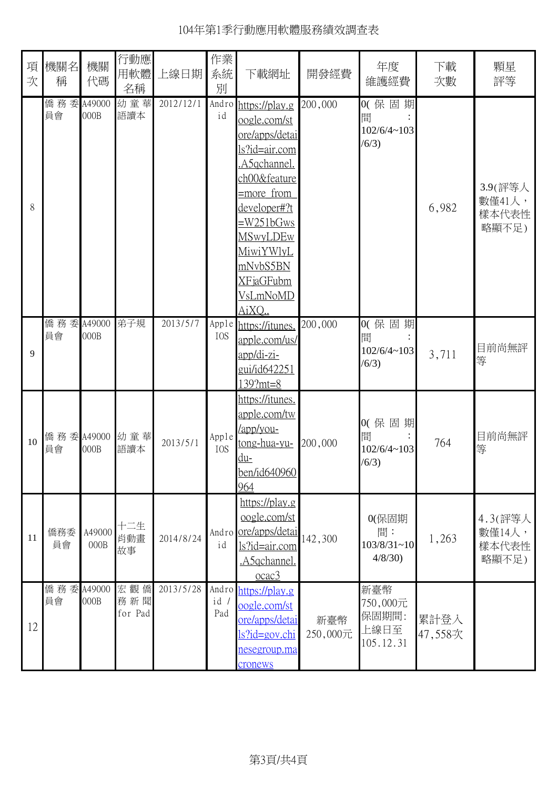| 項<br>次 | 機關名<br>稱         | 機關<br>代碼       | 行動應<br>用軟體<br>名稱      | 上線日期      | 作業<br>系統<br>別 | 下載網址                                                                                                                                                                                                                                                          | 開發經費            | 年度<br>維護經費                                    | 下載<br>次數        | 顆星<br>評等                            |
|--------|------------------|----------------|-----------------------|-----------|---------------|---------------------------------------------------------------------------------------------------------------------------------------------------------------------------------------------------------------------------------------------------------------|-----------------|-----------------------------------------------|-----------------|-------------------------------------|
| 8      | 僑務委 A49000<br>員會 | 000B           | 幼童華<br>語讀本            | 2012/12/1 | id            | Andro https://play.g<br>oogle.com/st<br><u>ore/apps/detai</u><br><u>ls?id=air.com</u><br>A5qchannel.<br>ch00&feature<br>=more from<br><u>developer#?t</u><br>$=W251bGws$<br><u>MSwyLDEw</u><br><u>MiwiYWlyL</u><br>mNvbS5BN<br>XFjaGFubm<br>VsLmNoMD<br>AiXO. | 200,000         | 0(保固期<br>間<br>102/6/4~103<br>(6/3)            | 6,982           | 3.9(評等人<br>數僅41人,<br>樣本代表性<br>略顯不足) |
| 9      | 僑務委 A49000<br>員會 | 000B           | 弟子規                   | 2013/5/7  | IOS           | Apple https://itunes.<br>apple.com/us/<br>app/di-zi-<br>gui/id642251<br>$139?mt = 8$                                                                                                                                                                          | 200,000         | 0(保固期<br>間<br>102/6/4~103<br>(6/3)            | 3,711           | 目前尚無評<br>等                          |
| 10     | 員會               | 000B           | 僑務委 A49000 幼童華<br>語讀本 | 2013/5/1  | Apple<br>IOS  | <u>https://itunes.</u><br>apple.com/tw<br>/app/you-<br><u>tong-hua-yu-</u><br>du-<br>ben/id640960<br>964                                                                                                                                                      | 200,000         | 0(保固期<br>間<br>102/6/4~103<br>(6/3)            | 764             | 目前尚無評<br>等                          |
| 11     | 僑務委<br>員會        | A49000<br>000B | 十二生<br>肖動畫<br>故事      | 2014/8/24 | id            | https://play.g<br>oogle.com/st<br>Andro ore/apps/detai<br>ls?id=air.com<br><u>.A5qchannel.</u><br>ocac3                                                                                                                                                       | 142,300         | 0(保固期<br>間:<br>$103/8/31 - 10$<br>4/8/30      | 1,263           | 4.3(評等人<br>數僅14人,<br>樣本代表性<br>略顯不足) |
| 12     | 僑務委 A49000<br>員會 | 000B           | 宏觀僑<br>務新聞<br>for Pad | 2013/5/28 | id /<br>Pad   | Andro https://play.g<br>oogle.com/st<br>ore/apps/detai<br><u>ls?id=gov.chi</u><br><u>nesegroup.ma</u><br>cronews                                                                                                                                              | 新臺幣<br>250,000元 | 新臺幣<br>750,000元<br>保固期間:<br>上線日至<br>105.12.31 | 累計登入<br>47,558次 |                                     |

## 104年第1季行動應用軟體服務績效調查表